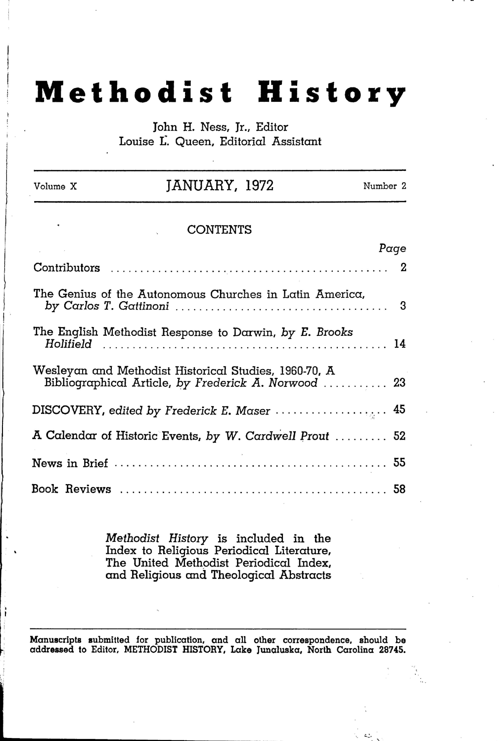## **Methodist History**

John H. Ness, Jr., Editor Louise L. Queen, Editorial Assistant

| Volume X | JANUARY, 1972                                                                                                 | Number 2 |
|----------|---------------------------------------------------------------------------------------------------------------|----------|
|          | <b>CONTENTS</b>                                                                                               |          |
|          |                                                                                                               | Page     |
|          |                                                                                                               |          |
|          | The Genius of the Autonomous Churches in Latin America,                                                       |          |
|          | The English Methodist Response to Darwin, by E. Brooks                                                        |          |
|          | Wesleyan and Methodist Historical Studies, 1960-70, A<br>Bibliographical Article, by Frederick A. Norwood  23 |          |
|          |                                                                                                               |          |
|          | A Calendar of Historic Events, by W. Cardwell Prout  52                                                       |          |
|          |                                                                                                               |          |
|          |                                                                                                               |          |

J  $\mathfrak{f}$  '

\

, '"

*Methodist History* is included in the Index to Religious Periodical Literature, The United Methodist Periodical Index, and Religious and Theological Abstracts

Manuscripts submitted for publication, and all other correspondence, should be addressed to Editor, METHODIST HISTORY, Lake Junaluska, North Carolina 28745.

 $\cdot$   $\cdot$